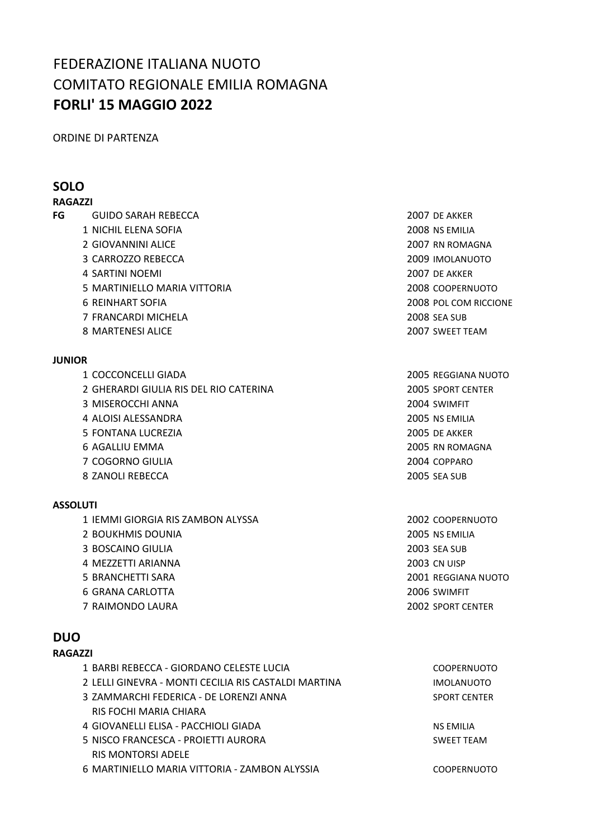# FEDERAZIONE ITALIANA NUOTO COMITATO REGIONALE EMILIA ROMAGNA **FORLI' 15 MAGGIO 2022**

ORDINE DI PARTENZA

### **SOLO**

### **RAGAZZI**

- **FG** GUIDO SARAH REBECCA 2007 DE AKKER
	- NICHIL ELENA SOFIA 2008 NS EMILIA
	- 2 GIOVANNINI ALICE 2007 RN ROMAGNA
	- CARROZZO REBECCA 2009 IMOLANUOTO
	- SARTINI NOEMI 2007 DE AKKER
	- MARTINIELLO MARIA VITTORIA 2008 COOPERNUOTO
	-
	- FRANCARDI MICHELA 2008 SEA SUB
	- 8 MARTENESI ALICE 2007 SWEET TEAM

### **JUNIOR**

- COCCONCELLI GIADA 2005 REGGIANA NUOTO
- GHERARDI GIULIA RIS DEL RIO CATERINA 2005 SPORT CENTER
- MISEROCCHI ANNA 2004 SWIMFIT
- ALOISI ALESSANDRA 2005 NS EMILIA
- FONTANA LUCREZIA 2005 DE AKKER
- 
- COGORNO GIULIA 2004 COPPARO
- ZANOLI REBECCA 2005 SEA SUB

### **ASSOLUTI**

- IEMMI GIORGIA RIS ZAMBON ALYSSA 2002 COOPERNUOTO
- BOUKHMIS DOUNIA 2005 NS EMILIA
- BOSCAINO GIULIA 2003 SEA SUB
- MEZZETTI ARIANNA 2003 CN UISP
- 
- GRANA CARLOTTA 2006 SWIMFIT
- RAIMONDO LAURA 2002 SPORT CENTER

## **DUO**

### **RAGAZZI**

- BARBI REBECCA GIORDANO CELESTE LUCIA COOPERNUOTO LELLI GINEVRA - MONTI CECILIA RIS CASTALDI MARTINA IMOLANUOTO ZAMMARCHI FEDERICA - DE LORENZI ANNA SPORT CENTER RIS FOCHI MARIA CHIARA 4 GIOVANELLI ELISA - PACCHIOLI GIADA NE NE NE NE NE NE EMILIA NISCO FRANCESCA - PROIETTI AURORA SWEET TEAM RIS MONTORSI ADELE
	- MARTINIELLO MARIA VITTORIA ZAMBON ALYSSIA COOPERNUOTO

REINHART SOFIA 2008 POL COM RICCIONE

# AGALLIU EMMA 2005 RN ROMAGNA

BRANCHETTI SARA 2001 REGGIANA NUOTO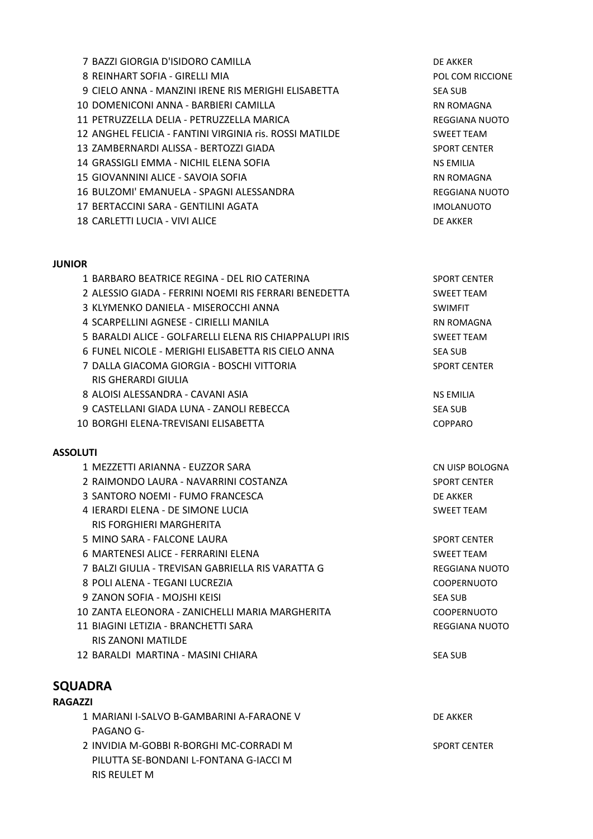- 7 BAZZI GIORGIA D'ISIDORO CAMILLA DE AKKER
- 8 REINHART SOFIA GIRELLI MIA POL COM RICCIONE
- 9 CIELO ANNA MANZINI IRENE RIS MERIGHI ELISABETTA SEA SUB
- 10 DOMENICONI ANNA BARBIERI CAMILLA RN ROMAGNA
- 11 PETRUZZELLA DELIA PETRUZZELLA MARICA REGGIANA NUOTO
- 12 ANGHEL FELICIA FANTINI VIRGINIA ris. ROSSI MATILDE SWEET TEAM
- 13 ZAMBERNARDI ALISSA BERTOZZI GIADA SPORT CENTER
- 14 GRASSIGLI EMMA NICHIL ELENA SOFIA NA NA NA NA NA NA EMILIA
- 15 GIOVANNINI ALICE SAVOIA SOFIA RICE AND ROMAGNA
- 16 BULZOMI' EMANUELA SPAGNI ALESSANDRA REGGIANA NUOTO
- 17 BERTACCINI SARA GENTILINI AGATA IMOLANUOTO
- 18 CARLETTI LUCIA VIVI ALICE DE AKKER

### **JUNIOR**

| 1 BARBARO BEATRICE REGINA - DEL RIO CATERINA            | <b>SPORT CENTER</b> |
|---------------------------------------------------------|---------------------|
| 2 ALESSIO GIADA - FERRINI NOEMI RIS FERRARI BENEDETTA   | <b>SWEET TEAM</b>   |
| 3 KLYMENKO DANIELA - MISEROCCHI ANNA                    | <b>SWIMFIT</b>      |
| 4 SCARPELLINI AGNESE - CIRIELLI MANILA                  | <b>RN ROMAGNA</b>   |
| 5 BARALDI ALICE - GOLFARELLI ELENA RIS CHIAPPALUPI IRIS | <b>SWEET TEAM</b>   |
| 6 FUNEL NICOLE - MERIGHI ELISABETTA RIS CIELO ANNA      | <b>SEA SUB</b>      |
| 7 DALLA GIACOMA GIORGIA - BOSCHI VITTORIA               | <b>SPORT CENTER</b> |
| RIS GHERARDI GIULIA                                     |                     |
| 8 ALOISI ALESSANDRA - CAVANI ASIA                       | <b>NS EMILIA</b>    |
| 9 CASTELLANI GIADA LUNA - ZANOLI REBECCA                | <b>SEA SUB</b>      |
| 10 BORGHI ELENA-TREVISANI ELISABETTA                    | <b>COPPARO</b>      |
|                                                         |                     |
| <b>ASSOLUTI</b>                                         |                     |
| 1 MEZZETTI ARIANNA - EUZZOR SARA                        | CN UISP BOLOGNA     |
| 2 RAIMONDO LAURA - NAVARRINI COSTANZA                   | <b>SPORT CENTER</b> |
| 3 SANTORO NOEMI - FUMO FRANCESCA                        | <b>DE AKKER</b>     |
| 4 JERARDI ELENA - DE SIMONE LUCIA                       | <b>SWEET TEAM</b>   |
| RIS FORGHIERI MARGHERITA                                |                     |
| 5 MINO SARA - FALCONE LAURA                             | <b>SPORT CENTER</b> |
| 6 MARTENESI ALICE - FERRARINI ELENA                     | <b>SWEET TEAM</b>   |
| 7 BALZI GIULIA - TREVISAN GABRIELLA RIS VARATTA G       | REGGIANA NUOTO      |
| 8 POLI ALENA - TEGANI LUCREZIA                          | <b>COOPERNUOTO</b>  |
| 9 ZANON SOFIA - MOJSHI KEISI                            | <b>SEA SUB</b>      |
| 10 ZANTA ELEONORA - ZANICHELLI MARIA MARGHERITA         | <b>COOPERNUOTO</b>  |
| 11 BIAGINI LETIZIA - BRANCHETTI SARA                    | REGGIANA NUOTO      |
| <b>RIS ZANONI MATILDE</b>                               |                     |
| 12 BARALDI MARTINA - MASINI CHIARA                      | <b>SEA SUB</b>      |
|                                                         |                     |

### **SQUADRA**

### **RAGAZZI**

- 1 MARIANI I-SALVO B-GAMBARINI A-FARAONE V DE AKKER PAGANO G-
- 2 INVIDIA M-GOBBI R-BORGHI MC-CORRADI M<br>SPORT CENTER PILUTTA SE-BONDANI L-FONTANA G-IACCI M RIS REULET M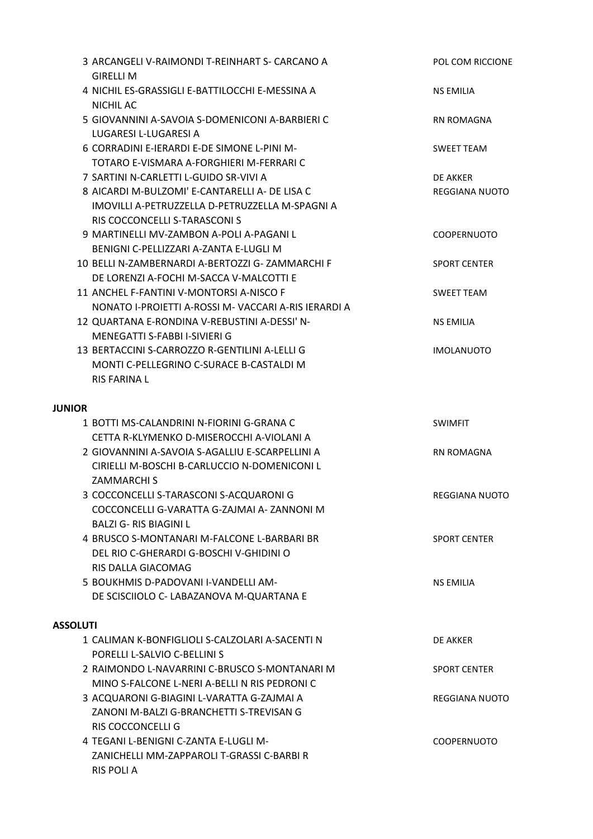|                 | 3 ARCANGELI V-RAIMONDI T-REINHART S- CARCANO A<br><b>GIRELLI M</b>                         | POL COM RICCIONE      |
|-----------------|--------------------------------------------------------------------------------------------|-----------------------|
|                 | 4 NICHIL ES-GRASSIGLI E-BATTILOCCHI E-MESSINA A<br>NICHIL AC                               | <b>NS EMILIA</b>      |
|                 | 5 GIOVANNINI A-SAVOIA S-DOMENICONI A-BARBIERI C<br>LUGARESI L-LUGARESI A                   | <b>RN ROMAGNA</b>     |
|                 | 6 CORRADINI E-IERARDI E-DE SIMONE L-PINI M-<br>TOTARO E-VISMARA A-FORGHIERI M-FERRARI C    | <b>SWEET TEAM</b>     |
|                 | 7 SARTINI N-CARLETTI L-GUIDO SR-VIVI A                                                     | DE AKKER              |
|                 | 8 AICARDI M-BULZOMI' E-CANTARELLI A- DE LISA C                                             | REGGIANA NUOTO        |
|                 | IMOVILLI A-PETRUZZELLA D-PETRUZZELLA M-SPAGNI A                                            |                       |
|                 | RIS COCCONCELLI S-TARASCONI S                                                              |                       |
|                 | 9 MARTINELLI MV-ZAMBON A-POLI A-PAGANI L                                                   | <b>COOPERNUOTO</b>    |
|                 | BENIGNI C-PELLIZZARI A-ZANTA E-LUGLI M                                                     |                       |
|                 | 10 BELLI N-ZAMBERNARDI A-BERTOZZI G- ZAMMARCHI F                                           | <b>SPORT CENTER</b>   |
|                 | DE LORENZI A-FOCHI M-SACCA V-MALCOTTI E                                                    |                       |
|                 | 11 ANCHEL F-FANTINI V-MONTORSI A-NISCO F                                                   | <b>SWEET TEAM</b>     |
|                 | NONATO I-PROJETTI A-ROSSI M- VACCARI A-RIS JERARDI A                                       |                       |
|                 | 12 QUARTANA E-RONDINA V-REBUSTINI A-DESSI' N-                                              | <b>NS EMILIA</b>      |
|                 | MENEGATTI S-FABBI I-SIVIERI G                                                              |                       |
|                 | 13 BERTACCINI S-CARROZZO R-GENTILINI A-LELLI G<br>MONTI C-PELLEGRINO C-SURACE B-CASTALDI M | <b>IMOLANUOTO</b>     |
|                 | <b>RIS FARINA L</b>                                                                        |                       |
|                 |                                                                                            |                       |
| <b>JUNIOR</b>   |                                                                                            |                       |
|                 | 1 BOTTI MS-CALANDRINI N-FIORINI G-GRANA C                                                  | <b>SWIMFIT</b>        |
|                 | CETTA R-KLYMENKO D-MISEROCCHI A-VIOLANI A                                                  |                       |
|                 | 2 GIOVANNINI A-SAVOIA S-AGALLIU E-SCARPELLINI A                                            | <b>RN ROMAGNA</b>     |
|                 | CIRIELLI M-BOSCHI B-CARLUCCIO N-DOMENICONI L                                               |                       |
|                 | <b>ZAMMARCHI S</b>                                                                         |                       |
|                 | 3 COCCONCELLI S-TARASCONI S-ACQUARONI G                                                    | <b>REGGIANA NUOTO</b> |
|                 | COCCONCELLI G-VARATTA G-ZAJMAI A- ZANNONI M                                                |                       |
|                 | <b>BALZI G-RIS BIAGINI L</b>                                                               |                       |
|                 | 4 BRUSCO S-MONTANARI M-FALCONE L-BARBARI BR                                                | <b>SPORT CENTER</b>   |
|                 | DEL RIO C-GHERARDI G-BOSCHI V-GHIDINI O                                                    |                       |
|                 | RIS DALLA GIACOMAG                                                                         |                       |
|                 | 5 BOUKHMIS D-PADOVANI I-VANDELLI AM-                                                       | <b>NS EMILIA</b>      |
|                 | DE SCISCIIOLO C- LABAZANOVA M-QUARTANA E                                                   |                       |
| <b>ASSOLUTI</b> |                                                                                            |                       |
|                 | 1 CALIMAN K-BONFIGLIOLI S-CALZOLARI A-SACENTI N                                            | DE AKKER              |
|                 | PORELLI L-SALVIO C-BELLINI S                                                               |                       |
|                 | 2 RAIMONDO L-NAVARRINI C-BRUSCO S-MONTANARI M                                              | <b>SPORT CENTER</b>   |
|                 | MINO S-FALCONE L-NERI A-BELLI N RIS PEDRONI C                                              |                       |
|                 |                                                                                            |                       |
|                 |                                                                                            |                       |
|                 | 3 ACQUARONI G-BIAGINI L-VARATTA G-ZAJMAI A                                                 | REGGIANA NUOTO        |
|                 | ZANONI M-BALZI G-BRANCHETTI S-TREVISAN G<br><b>RIS COCCONCELLI G</b>                       |                       |
|                 | 4 TEGANI L-BENIGNI C-ZANTA E-LUGLI M-                                                      | <b>COOPERNUOTO</b>    |
|                 | ZANICHELLI MM-ZAPPAROLI T-GRASSI C-BARBI R                                                 |                       |
|                 | <b>RIS POLI A</b>                                                                          |                       |